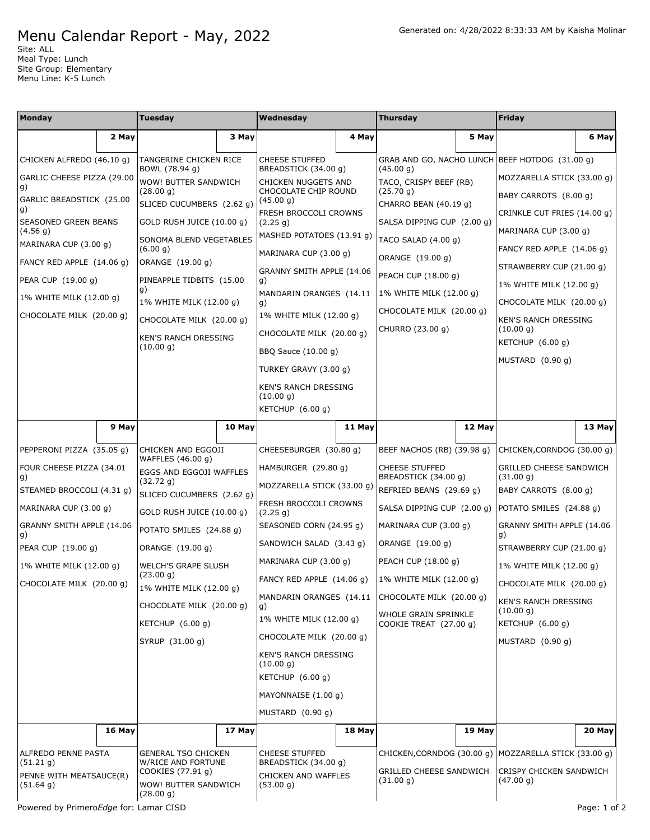## Menu Calendar Report - May, 2022

Site: ALL Meal Type: Lunch Site Group: Elementary Menu Line: K-5 Lunch

| Monday                                                                                                                                                                                                                                     |        | Tuesday                                                                                                                                                                                                                                                                                                                             |        | Wednesday                                                                                                                                                                                                                                                                                                                                                                                                                |        | <b>Thursday</b>                                                                                                                                                                                                                                                                                                   |        | Friday                                                                                                                                                                                                                                                                                                                                    |        |
|--------------------------------------------------------------------------------------------------------------------------------------------------------------------------------------------------------------------------------------------|--------|-------------------------------------------------------------------------------------------------------------------------------------------------------------------------------------------------------------------------------------------------------------------------------------------------------------------------------------|--------|--------------------------------------------------------------------------------------------------------------------------------------------------------------------------------------------------------------------------------------------------------------------------------------------------------------------------------------------------------------------------------------------------------------------------|--------|-------------------------------------------------------------------------------------------------------------------------------------------------------------------------------------------------------------------------------------------------------------------------------------------------------------------|--------|-------------------------------------------------------------------------------------------------------------------------------------------------------------------------------------------------------------------------------------------------------------------------------------------------------------------------------------------|--------|
|                                                                                                                                                                                                                                            | 2 May  |                                                                                                                                                                                                                                                                                                                                     | 3 May  |                                                                                                                                                                                                                                                                                                                                                                                                                          | 4 May  |                                                                                                                                                                                                                                                                                                                   | 5 May  |                                                                                                                                                                                                                                                                                                                                           | 6 May  |
| CHICKEN ALFREDO (46.10 g)<br>GARLIC CHEESE PIZZA (29.00<br>g)<br>GARLIC BREADSTICK (25.00<br>g)<br>SEASONED GREEN BEANS<br>(4.56 g)<br>MARINARA CUP (3.00 g)<br>FANCY RED APPLE (14.06 g)<br>PEAR CUP (19.00 g)<br>1% WHITE MILK (12.00 g) |        | TANGERINE CHICKEN RICE<br>BOWL (78.94 g)<br>WOW! BUTTER SANDWICH<br>(28.00 g)<br>SLICED CUCUMBERS (2.62 g)<br>GOLD RUSH JUICE (10.00 g)<br>SONOMA BLEND VEGETABLES<br>(6.00 g)<br>ORANGE (19.00 g)<br>PINEAPPLE TIDBITS (15.00<br>g)<br>1% WHITE MILK (12.00 g)                                                                     |        | <b>CHEESE STUFFED</b><br>BREADSTICK (34.00 g)<br>CHICKEN NUGGETS AND<br>CHOCOLATE CHIP ROUND<br>(45.00 g)<br>FRESH BROCCOLI CROWNS<br>(2.25 g)<br>MASHED POTATOES (13.91 g)<br>MARINARA CUP (3.00 g)<br>GRANNY SMITH APPLE (14.06<br>g)<br>MANDARIN ORANGES (14.11<br>g)                                                                                                                                                 |        | GRAB AND GO, NACHO LUNCH BEEF HOTDOG (31.00 g)<br>(45.00 g)<br>TACO, CRISPY BEEF (RB)<br>(25.70 g)<br>CHARRO BEAN (40.19 g)<br>SALSA DIPPING CUP (2.00 g)<br>TACO SALAD (4.00 g)<br>ORANGE (19.00 g)<br>PEACH CUP (18.00 g)<br>1% WHITE MILK (12.00 g)<br>CHOCOLATE MILK (20.00 g)<br>CHURRO (23.00 g)            |        | MOZZARELLA STICK (33.00 g)<br>BABY CARROTS (8.00 g)<br>CRINKLE CUT FRIES (14.00 g)<br>MARINARA CUP (3.00 g)<br>FANCY RED APPLE (14.06 g)<br>STRAWBERRY CUP (21.00 g)<br>1% WHITE MILK (12.00 g)<br>CHOCOLATE MILK (20.00 g)                                                                                                               |        |
| CHOCOLATE MILK (20.00 g)                                                                                                                                                                                                                   |        | CHOCOLATE MILK (20.00 q)<br>KEN'S RANCH DRESSING<br>(10.00 g)                                                                                                                                                                                                                                                                       |        | 1% WHITE MILK (12.00 g)<br>CHOCOLATE MILK (20.00 g)<br>BBQ Sauce (10.00 g)<br>TURKEY GRAVY (3.00 g)<br>KEN'S RANCH DRESSING<br>(10.00 g)<br>KETCHUP (6.00 g)                                                                                                                                                                                                                                                             |        |                                                                                                                                                                                                                                                                                                                   |        | KEN'S RANCH DRESSING<br>(10.00 g)<br>KETCHUP (6.00 g)<br>MUSTARD (0.90 g)                                                                                                                                                                                                                                                                 |        |
|                                                                                                                                                                                                                                            | 9 May  |                                                                                                                                                                                                                                                                                                                                     | 10 May |                                                                                                                                                                                                                                                                                                                                                                                                                          | 11 May |                                                                                                                                                                                                                                                                                                                   | 12 May |                                                                                                                                                                                                                                                                                                                                           | 13 May |
| PEPPERONI PIZZA (35.05 g)<br>FOUR CHEESE PIZZA (34.01<br>g)<br>STEAMED BROCCOLI (4.31 g)<br>MARINARA CUP (3.00 g)<br>GRANNY SMITH APPLE (14.06<br>g)<br>PEAR CUP (19.00 g)<br>1% WHITE MILK (12.00 g)<br>CHOCOLATE MILK (20.00 g)          |        | CHICKEN AND EGGOJI<br>WAFFLES (46.00 g)<br>EGGS AND EGGOJI WAFFLES<br>(32.72 g)<br>SLICED CUCUMBERS (2.62 g)<br>GOLD RUSH JUICE (10.00 g)<br>POTATO SMILES (24.88 g)<br>ORANGE (19.00 g)<br><b>WELCH'S GRAPE SLUSH</b><br>(23.00 g)<br>1% WHITE MILK (12.00 g)<br>CHOCOLATE MILK (20.00 g)<br>KETCHUP $(6.00 g)$<br>SYRUP (31.00 g) |        | CHEESEBURGER (30.80 g)<br>HAMBURGER (29.80 g)<br>MOZZARELLA STICK (33.00 g)<br>FRESH BROCCOLI CROWNS<br>(2.25 g)<br>SEASONED CORN (24.95 g)<br>SANDWICH SALAD (3.43 g)<br>MARINARA CUP (3.00 g)<br>FANCY RED APPLE (14.06 g)<br>MANDARIN ORANGES (14.11<br>g)<br>1% WHITE MILK (12.00 g)<br>CHOCOLATE MILK (20.00 g)<br>KEN'S RANCH DRESSING<br>(10.00 g)<br>KETCHUP (6.00 g)<br>MAYONNAISE (1.00 g)<br>MUSTARD (0.90 g) |        | BEEF NACHOS (RB) (39.98 g)<br><b>CHEESE STUFFED</b><br>BREADSTICK (34.00 g)<br>REFRIED BEANS (29.69 g)<br>SALSA DIPPING CUP (2.00 g)<br>MARINARA CUP (3.00 g)<br>ORANGE (19.00 g)<br>PEACH CUP (18.00 g)<br>1% WHITE MILK (12.00 g)<br>CHOCOLATE MILK (20.00 q)<br>WHOLE GRAIN SPRINKLE<br>COOKIE TREAT (27.00 g) |        | CHICKEN, CORNDOG (30.00 g)<br><b>GRILLED CHEESE SANDWICH</b><br>(31.00 g)<br>BABY CARROTS (8.00 g)<br>POTATO SMILES (24.88 g)<br>GRANNY SMITH APPLE (14.06<br>g)<br>STRAWBERRY CUP (21.00 g)<br>1% WHITE MILK (12.00 g)<br>CHOCOLATE MILK (20.00 g)<br><b>KEN'S RANCH DRESSING</b><br>(10.00 g)<br>KETCHUP (6.00 g)<br>MUSTARD $(0.90 g)$ |        |
|                                                                                                                                                                                                                                            | 16 May |                                                                                                                                                                                                                                                                                                                                     | 17 May |                                                                                                                                                                                                                                                                                                                                                                                                                          | 18 May |                                                                                                                                                                                                                                                                                                                   | 19 May |                                                                                                                                                                                                                                                                                                                                           | 20 May |
| ALFREDO PENNE PASTA<br>(51.21 g)<br>PENNE WITH MEATSAUCE(R)<br>(51.64 g)<br>Powered by PrimeroEdge for: Lamar CISD                                                                                                                         |        | <b>GENERAL TSO CHICKEN</b><br>W/RICE AND FORTUNE<br>COOKIES (77.91 g)<br>WOW! BUTTER SANDWICH<br>(28.00 g)                                                                                                                                                                                                                          |        | CHEESE STUFFED<br>BREADSTICK (34.00 g)<br>CHICKEN AND WAFFLES<br>(53.00 g)                                                                                                                                                                                                                                                                                                                                               |        | GRILLED CHEESE SANDWICH<br>(31.00 g)                                                                                                                                                                                                                                                                              |        | CHICKEN, CORNDOG (30.00 g)   MOZZARELLA STICK (33.00 g)<br>CRISPY CHICKEN SANDWICH<br>(47.00 g)<br>Page: 1 of 2                                                                                                                                                                                                                           |        |